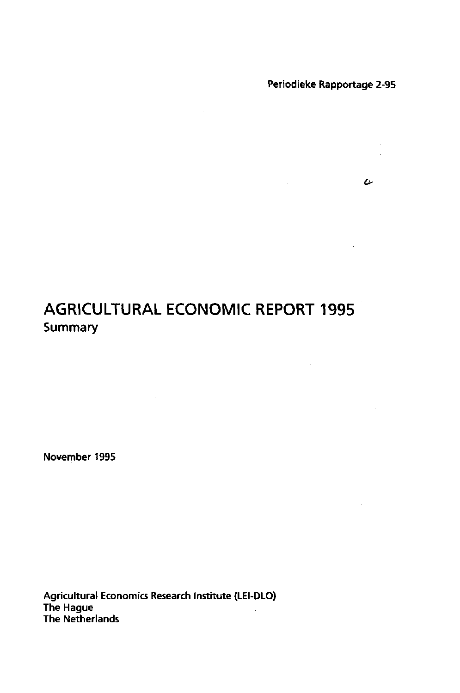$\label{eq:1} \mathbf{v} = \mathbf{v} \mathbf{v} + \mathbf{v} \mathbf{v} + \mathbf{v} \mathbf{v} + \mathbf{v} \mathbf{v}$ 

 $\sim$   $\sim$ 

 $\sim$ 

 $\mathcal{L}^{(1)}$ 

# **AGRICULTURAL ECONOMIC REPORT 1995 Summary**

 $\sim 10^{-1}$ 

November 1995

 $\mathcal{L}^{\text{max}}_{\text{max}}$  and  $\mathcal{L}^{\text{max}}_{\text{max}}$ 

Agricultural Economics Research Institute (LEI-DLO) The Hague The Netherlands

 $\mathcal{L}^{\text{max}}_{\text{max}}$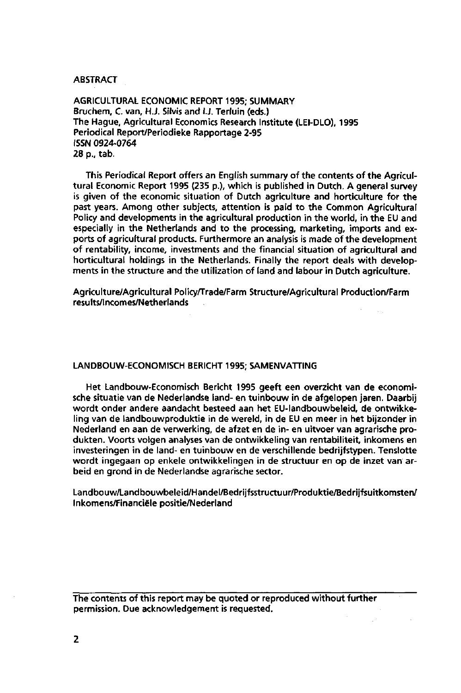**ABSTRACT** 

AGRICULTURAL ECONOMIC REPORT 1995; SUMMARY Bruchem, C. van, H.J. Silvis and I.J. Terluin (eds.) The Hague, Agricultural Economics Research Institute (LEI-DLO), 1995 Periodical Report/Periodieke Rapportage 2-95 ISSN 0924-0764 28 p., tab.

This Periodical Report offers an English summary of the contents of the Agricultural Economic Report 1995 (235 p.), which is published in Dutch. A general survey is given of the economic situation of Dutch agriculture and horticulture for the past years. Among other subjects, attention is paid to the Common Agricultural Policy and developments in the agricultural production in the world, in the EU and especially in the Netherlands and to the processing, marketing, imports and exports of agricultural products. Furthermore an analysis is made of the development of rentability, income, investments and the financial situation of agricultural and horticultural holdings in the Netherlands. Finally the report deals with developments in the structure and the utilization of land and labour in Dutch agriculture.

Agriculture/Agricultural Policy/Trade/Farm Structure/Agricultural Production/Farm results/lncomes/Netherlands

#### LANDBOUW-ECONOMISCH BERICHT 1995; SAMENVATTING

Het Landbouw-Economisch Bericht 1995 geeft een overzicht van de economische situatie van de Nederlandse land- en tuinbouw in de afgelopen jaren. Daarbij wordt onder andere aandacht besteed aan het EU-landbouwbeleid, de ontwikkeling van de landbouwproduktie in de wereld, in de EU en meer in het bijzonder in Nederland en aan de verwerking, de afzet en de in- en uitvoer van agrarische produkten. Voorts volgen analyses van de ontwikkeling van rentabiliteit, inkomens en investeringen in de land- en tuinbouw en de verschillende bedrijfstypen. Tenslotte wordt ingegaan op enkele ontwikkelingen in de structuur en op de inzet van arbeid en grond in de Nederlandse agrarische sector.

Landbouw/Landbouwbeleid/Handel/Bedrijfsstructuur/Produktie/Bedrijfsuitkomsten/ Inkomens/Financiële positie/Nederland

The contents of this report may be quoted or reproduced without further permission. Due acknowledgement is requested.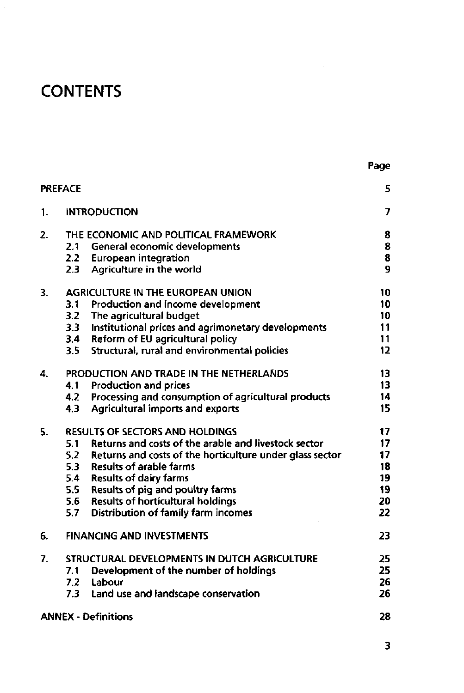# **CONTENTS**

|                |     |                                                          | Page           |
|----------------|-----|----------------------------------------------------------|----------------|
| <b>PREFACE</b> |     |                                                          | 5              |
| 1.             |     | <b>INTRODUCTION</b>                                      | 7              |
| 2.             |     | THE ECONOMIC AND POLITICAL FRAMEWORK                     | 8              |
|                | 2.1 | General economic developments                            | 8              |
|                | 2.2 | <b>European integration</b>                              | 8              |
|                | 2.3 | Agriculture in the world                                 | $\overline{9}$ |
| 3.             |     | <b>AGRICULTURE IN THE EUROPEAN UNION</b>                 | 10             |
|                | 3.1 | Production and income development                        | 10             |
|                | 3.2 | The agricultural budget                                  | 10             |
|                | 3.3 | Institutional prices and agrimonetary developments       | 11             |
|                | 3.4 | Reform of EU agricultural policy                         | 11             |
|                | 3.5 | Structural, rural and environmental policies             | 12             |
| 4.             |     | PRODUCTION AND TRADE IN THE NETHERLANDS                  | 13             |
|                | 4.1 | Production and prices                                    | 13             |
|                | 4.2 | Processing and consumption of agricultural products      | 14             |
|                | 4.3 | Agricultural imports and exports                         | 15             |
| 5.             |     | <b>RESULTS OF SECTORS AND HOLDINGS</b>                   | 17             |
|                | 5.1 | Returns and costs of the arable and livestock sector     | 17             |
|                | 5.2 | Returns and costs of the horticulture under glass sector | 17             |
|                |     | 5.3 Results of arable farms                              | 18             |
|                |     | 5.4 Results of dairy farms                               | 19             |
|                |     | 5.5 Results of pig and poultry farms                     | 19             |
|                | 5.6 | <b>Results of horticultural holdings</b>                 | 20             |
|                | 5.7 | Distribution of family farm incomes                      | 22             |
| 6.             |     | <b>FINANCING AND INVESTMENTS</b>                         | 23             |
| 7.             |     | STRUCTURAL DEVELOPMENTS IN DUTCH AGRICULTURE             | 25             |
|                | 7.1 | Development of the number of holdings                    | 25             |
|                | 7.2 | Labour                                                   | 26             |
|                | 7.3 | Land use and landscape conservation                      | 26             |
|                |     | <b>ANNEX - Definitions</b>                               | 28             |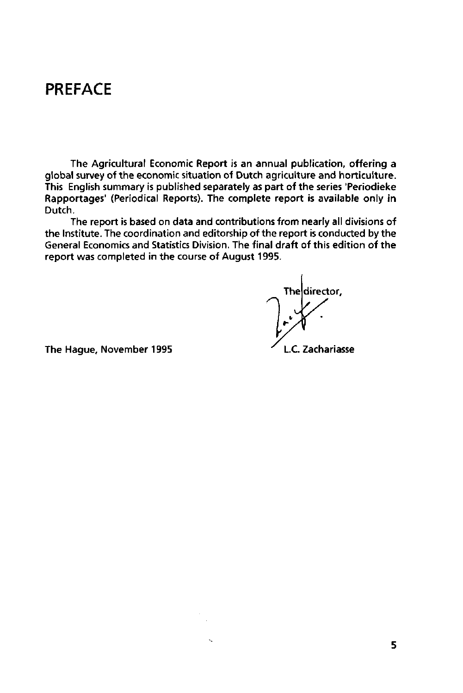# **PREFACE**

The Agricultural Economic Report is an annual publication, offering a global survey of the economic situation of Dutch agriculture and horticulture. This English summary is published separately as part of the series 'Periodieke Rapportages' (Periodical Reports). The complete report is available only in Dutch.

The report is based on data and contributions from nearly all divisions of the Institute. The coordination and editorship of the report is conducted by the General Economics and Statistics Division. The final draft of this edition of the report was completed in the course of August 1995.

director. Thel

The Hague, November 1995 **L.C.** Zachariasse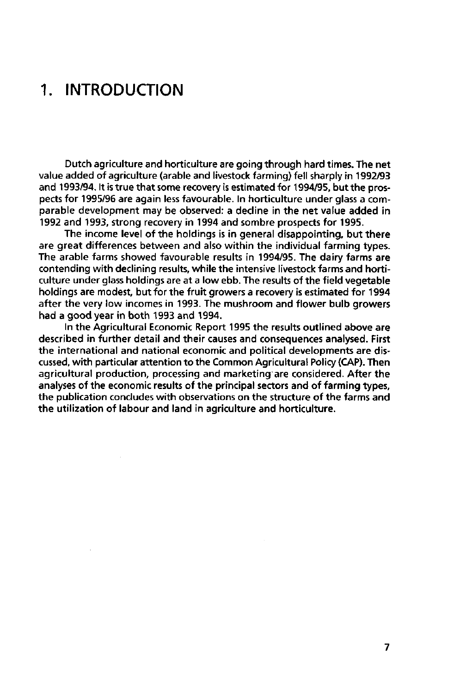# **1. INTRODUCTION**

 $\sim$ 

Dutch agriculture and horticulture are going through hard times. The net value added of agriculture (arable and livestock farming) fell sharply in 1992/93 and 1993/94. It is true that some recovery is estimated for 1994/95, but the prospects for 1995/96 are again less favourable. In horticulture under glass a comparable development may be observed: a decline in the net value added in 1992 and 1993, strong recovery in 1994 and sombre prospects for 1995.

The income level of the holdings is in general disappointing, but there are great differences between and also within the individual farming types. The arable farms showed favourable results in 1994/95. The dairy farms are contending with declining results, while the intensive livestock farms and horticulture under glass holdings are at a low ebb. The results of the field vegetable holdings are modest, but for the fruit growers a recovery is estimated for 1994 after the very low incomes in 1993. The mushroom and flower bulb growers had a good year in both 1993 and 1994.

In the Agricultural Economic Report 1995 the results outlined above are described in further detail and their causes and consequences analysed. First the international and national economic and political developments are discussed, with particular attention to the Common Agricultural Policy (CAP). Then agricultural production, processing and marketing are considered. After the analyses of the economic results of the principal sectors and of farming types, the publication concludes with observations on the structure of the farms and the utilization of labour and land in agriculture and horticulture.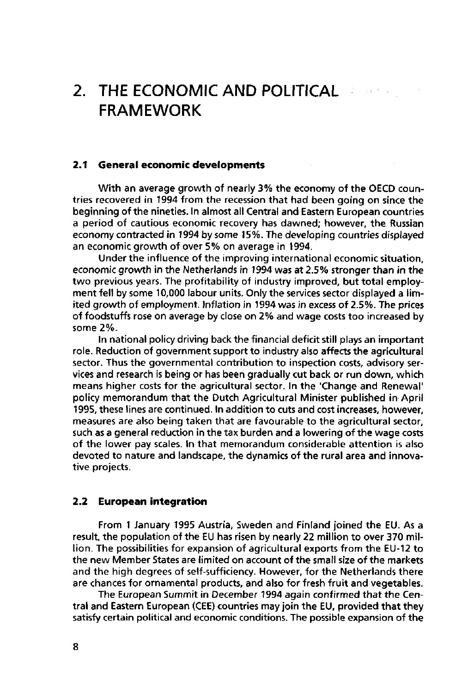# **2. THE ECONOMIC AND POLITICAL FRAMEWORK**

## **2.1 General economic developments**

With an average growth of nearly 3% the economy of the OECD countries recovered in 1994 from the recession that had been going on since the beginning of the nineties. In almost all Central and Eastern European countries a period of cautious economic recovery has dawned; however, the Russian economy contracted in 1994 by some 15%. The developing countries displayed an economic growth of over 5% on average in 1994.

Under the influence of the improving international economic situation, economic growth in the Netherlands in 1994 was at 2.5% stronger than in the two previous years. The profitability of industry improved, but total employment fell by some 10,000 labour units. Only the services sector displayed a limited growth of employment. Inflation in 1994 was in excess of 2.5%. The prices of foodstuffs rose on average by close on 2% and wage costs too increased by some 2%.

In national policy driving back the financial deficit still plays an important role. Reduction of government support to industry also affects the agricultural sector. Thus the governmental contribution to inspection costs, advisory services and research is being or has been gradually cut back or run down, which means higher costs for the agricultural sector. In the 'Change and Renewal' policy memorandum that the Dutch Agricultural Minister published in April 1995, these lines are continued. In addition to cuts and cost increases, however, measures are also being taken that are favourable to the agricultural sector, such as a general reduction in the tax burden and a lowering of the wage costs of the lower pay scales. In that memorandum considerable attention is also devoted to nature and landscape, the dynamics of the rural area and innovative projects.

### **2.2 European integration**

From 1 January 1995 Austria, Sweden and Finland joined the EU. As a result, the population of the EU has risen by nearly 22 million to over 370 million. The possibilities for expansion of agricultural exports from the EU-12 to the new Member States are limited on account of the small size of the markets and the high degrees of self-sufficiency. However, for the Netherlands there are chances for ornamental products, and also for fresh fruit and vegetables.

The European Summit in December 1994 again confirmed that the Central and Eastern European (CEE) countries may join the EU, provided that they satisfy certain political and economic conditions. The possible expansion of the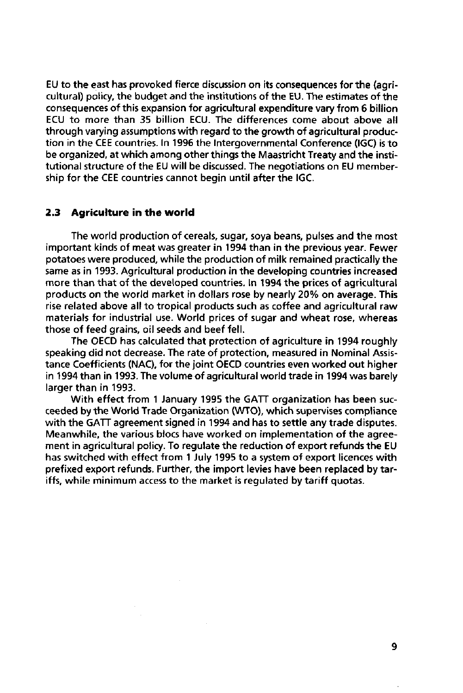EU to the east has provoked fierce discussion on its consequences for the (agricultural) policy, the budget and the institutions of the EU. The estimates of the consequences of this expansion for agricultural expenditure vary from 6 billion ECU to more than 35 billion ECU. The differences come about above all through varying assumptions with regard to the growth of agricultural production in the CEE countries. In 1996 the Intergovernmental Conference (IGC) is to be organized, at which among other things the Maastricht Treaty and the institutional structure of the EU will be discussed. The negotiations on EU membership for the CEE countries cannot begin until after the IGC.

### **2.3 Agriculture in the world**

The world production of cereals, sugar, soya beans, pulses and the most important kinds of meat was greater in 1994 than in the previous year. Fewer potatoes were produced, while the production of milk remained practically the same as in 1993. Agricultural production in the developing countries increased more than that of the developed countries. In 1994 the prices of agricultural products on the world market in dollars rose by nearly 20% on average. This rise related above all to tropical products such as coffee and agricultural raw materials for industrial use. World prices of sugar and wheat rose, whereas those of feed grains, oil seeds and beef fell.

The OECD has calculated that protection of agriculture in 1994 roughly speaking did not decrease. The rate of protection, measured in Nominal Assistance Coefficients (NAC), for the joint OECD countries even worked out higher in 1994 than in 1993. The volume of agricultural world trade in 1994 was barely larger than in 1993.

With effect from 1 January 1995 the GATT organization has been succeeded by the World Trade Organization (WTO), which supervises compliance with the GATT agreement signed in 1994 and has to settle any trade disputes. Meanwhile, the various blocs have worked on implementation of the agreement in agricultural policy. To regulate the reduction of export refunds the EU has switched with effect from 1 July 1995 to a system of export licences with prefixed export refunds. Further, the import levies have been replaced by tariffs, while minimum access to the market is regulated by tariff quotas.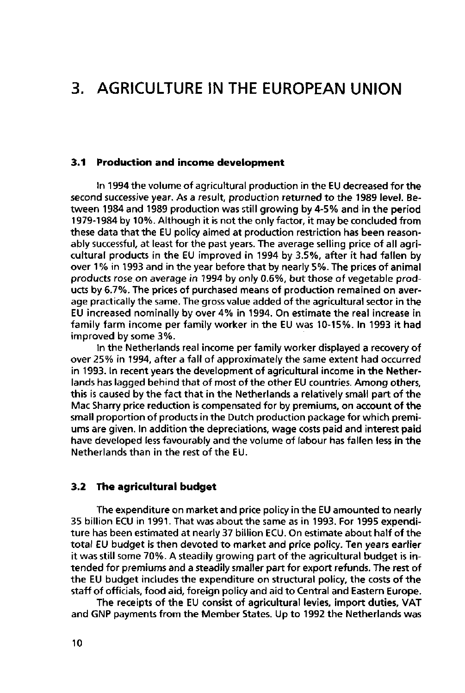# **3. AGRICULTURE IN THE EUROPEAN UNION**

### **3.1 Production and income development**

In 1994 the volume of agricultural production in the EU decreased for the second successive year. As a result, production returned to the 1989 level. Between 1984 and 1989 production was still growing by 4-5% and in the period 1979-1984 by 10%. Although it is not the only factor, it may be concluded from these data that the EU policy aimed at production restriction has been reasonably successful, at least for the past years. The average selling price of all agricultural products in the EU improved in 1994 by 3.5%, after it had fallen by over 1 % in 1993 and in the year before that by nearly 5%. The prices of animal products rose on average in 1994 by only 0.6%, but those of vegetable products by 6.7%. The prices of purchased means of production remained on average practically the same. The gross value added of the agricultural sector in the EU increased nominally by over 4% in 1994. On estimate the real increase in family farm income per family worker in the EU was 10-15%. In 1993 it had improved by some 3%.

In the Netherlands real income per family worker displayed a recovery of over 25% in 1994, after a fall of approximately the same extent had occurred in 1993. In recent years the development of agricultural income in the Netherlands has lagged behind that of most of the other EU countries. Among others, this is caused by the fact that in the Netherlands a relatively small part of the Mac Sharry price reduction is compensated for by premiums, on account of the small proportion of products in the Dutch production package for which premiums are given. In addition the depreciations, wage costs paid and interest paid have developed less favourably and the volume of labour has fallen less in the Netherlands than in the rest of the EU.

### **3.2 The agricultural budget**

The expenditure on market and price policy in the EU amounted to nearly 35 billion ECU in 1991. That was about the same as in 1993. For 1995 expenditure has been estimated at nearly 37 billion ECU. On estimate about half of the total EU budget is then devoted to market and price policy. Ten years earlier it was still some 70%. A steadily growing part of the agricultural budget is intended for premiums and a steadily smaller part for export refunds. The rest of the EU budget includes the expenditure on structural policy, the costs of the staff of officials, food aid, foreign policy and aid to Central and Eastern Europe.

The receipts of the EU consist of agricultural levies, import duties, VAT and GNP payments from the Member States. Up to 1992 the Netherlands was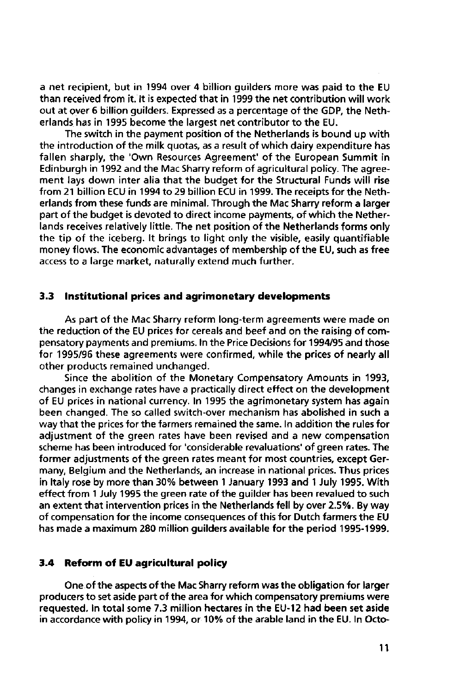a net recipient, but in 1994 over 4 billion guilders more was paid to the EU than received from it. It is expected that in 1999 the net contribution will work out at over 6 billion guilders. Expressed as a percentage of the GDP, the Netherlands has in 1995 become the largest net contributor to the EU.

The switch in the payment position of the Netherlands is bound up with the introduction of the milk quotas, as a result of which dairy expenditure has fallen sharply, the 'Own Resources Agreement' of the European Summit in Edinburgh in 1992 and the Mac Sharry reform of agricultural policy. The agreement lays down inter alia that the budget for the Structural Funds will rise from 21 billion ECU in 1994 to 29 billion ECU in 1999. The receipts for the Netherlands from these funds are minimal. Through the Mac Sharry reform a larger part of the budget is devoted to direct income payments, of which the Netherlands receives relatively little. The net position of the Netherlands forms only the tip of the iceberg. It brings to light only the visible, easily quantifiable money flows. The economic advantages of membership of the EU, such as free access to a large market, naturally extend much further.

### **3.3 Institutional prices and agrimonetary developments**

As part of the Mac Sharry reform long-term agreements were made on the reduction of the EU prices for cereals and beef and on the raising of compensatory payments and premiums. In the Price Decisions for 1994/95 and those for 1995/96 these agreements were confirmed, while the prices of nearly all other products remained unchanged.

Since the abolition of the Monetary Compensatory Amounts in 1993, changes in exchange rates have a practically direct effect on the development of EU prices in national currency. In 1995 the agrimonetary system has again been changed. The so called switch-over mechanism has abolished in such a way that the prices for the farmers remained the same. In addition the rules for adjustment of the green rates have been revised and a new compensation scheme has been introduced for 'considerable revaluations' of green rates. The former adjustments of the green rates meant for most countries, except Germany, Belgium and the Netherlands, an increase in national prices. Thus prices in Italy rose by more than 30% between 1 January 1993 and 1 July 1995. With effect from 1 July 1995 the green rate of the guilder has been revalued to such an extent that intervention prices in the Netherlands fell by over 2.5%. By way of compensation for the income consequences of this for Dutch farmers the EU has made a maximum 280 million guilders available for the period 1995-1999.

## **3.4 Reform of EU agricultural policy**

One of the aspects of the Mac Sharry reform was the obligation for larger producers to set aside part of the area for which compensatory premiums were requested. In total some 7.3 million hectares in the EU-12 had been set aside in accordance with policy in 1994, or 10% of the arable land in the EU. In Octo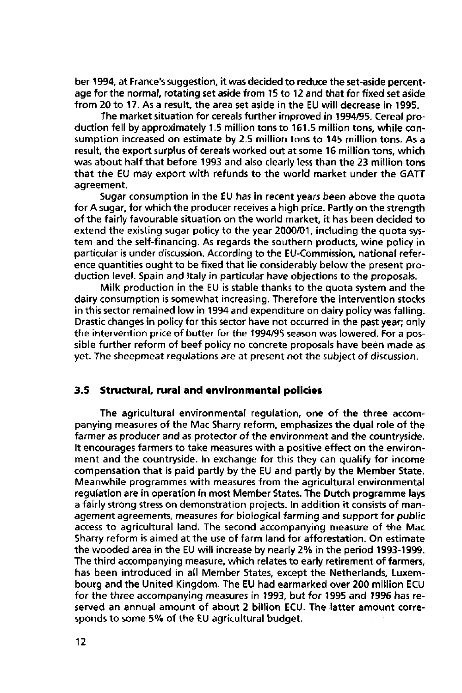ber 1994, at France's suggestion, it was decided to reduce the set-aside percentage for the normal, rotating set aside from 15 to 12 and that for fixed set aside from 20 to 17. As a result, the area set aside in the EU will decrease in 1995.

The market situation for cereals further improved in 1994/95. Cereal production fell by approximately 1.5 million tons to 161.5 million tons, while consumption increased on estimate by 2.5 million tons to 145 million tons. As a result, the export surplus of cereals worked out at some 16 million tons, which was about half that before 1993 and also clearly less than the 23 million tons that the EU may export with refunds to the world market under the GATT agreement.

Sugar consumption in the EU has in recent years been above the quota for A sugar, for which the producer receives a high price. Partly on the strength of the fairly favourable situation on the world market, it has been decided to extend the existing sugar policy to the year 2000/01, including the quota system and the self-financing. As regards the southern products, wine policy in particular is under discussion. According to the EU-Commission, national reference quantities ought to be fixed that lie considerably below the present production level. Spain and Italy in particular have objections to the proposals.

Milk production in the EU is stable thanks to the quota system and the dairy consumption is somewhat increasing. Therefore the intervention stocks in this sector remained low in 1994 and expenditure on dairy policy was falling. Drastic changes in policy for this sector have not occurred in the past year; only the intervention price of butter for the 1994/95 season was lowered. For a possible further reform of beef policy no concrete proposals have been made as yet. The sheepmeat regulations are at present not the subject of discussion.

### **3.5 Structural, rural and environmental policies**

The agricultural environmental regulation, one of the three accompanying measures of the Mac Sharry reform, emphasizes the dual role of the farmer as producer and as protector of the environment and the countryside. It encourages farmers to take measures with a positive effect on the environment and the countryside. In exchange for this they can qualify for income compensation that is paid partly by the EU and partly by the Member State. Meanwhile programmes with measures from the agricultural environmental regulation are in operation in most Member States. The Dutch programme lays a fairly strong stress on demonstration projects. In addition it consists of management agreements, measures for biological farming and support for public access to agricultural land. The second accompanying measure of the Mac Sharry reform is aimed at the use of farm land for afforestation. On estimate the wooded area in the EU will increase by nearly 2% in the period 1993-1999. The third accompanying measure, which relates to early retirement of farmers, has been introduced in all Member States, except the Netherlands, Luxembourg and the United Kingdom. The EU had earmarked over 200 million ECU for the three accompanying measures in 1993, but for 1995 and 1996 has reserved an annual amount of about 2 billion ECU. The latter amount corresponds to some 5% of the EU agricultural budget.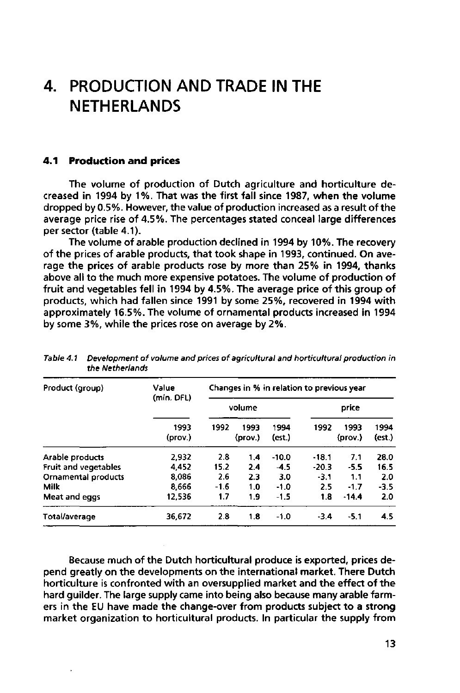## $\mathbf{4}$ . **PRODUCTION AND TRADE IN THE NETHERLANDS**

## **4.1 Production and prices**

The volume of production of Dutch agriculture and horticulture decreased in 1994 by 1%. That was the first fall since 1987, when the volume dropped by 0.5%. However, the value of production increased as a result of the average price rise of 4.5%. The percentages stated conceal large differences per sector (table 4.1).

The volume of arable production declined in 1994 by 10%. The recovery of the prices of arable products, that took shape in 1993, continued. On average the prices of arable products rose by more than 25% in 1994, thanks above all to the much more expensive potatoes. The volume of production of fruit and vegetables fell in 1994 by 4.5%. The average price of this group of products, which had fallen since 1991 by some 25%, recovered in 1994 with approximately 16.5%. The volume of ornamental products increased in 1994 by some 3%, while the prices rose on average by 2%.

| Product (group)             | Value<br>(mln. DFL) | Changes in % in relation to previous year |                 |                |         |                 |                |  |  |
|-----------------------------|---------------------|-------------------------------------------|-----------------|----------------|---------|-----------------|----------------|--|--|
|                             |                     |                                           | volume          |                | price   |                 |                |  |  |
|                             | 1993<br>(prov.)     | 1992                                      | 1993<br>(prov.) | 1994<br>(est.) | 1992    | 1993<br>(prov.) | 1994<br>(est.) |  |  |
| Arable products             | 2.932               | 2.8                                       | 1.4             | $-10.0$        | $-18.1$ | 7.1             | 28.0           |  |  |
| <b>Fruit and vegetables</b> | 4.452               | 15.2                                      | 2.4             | $-4.5$         | $-20.3$ | $-5.5$          | 16.5           |  |  |
| Ornamental products         | 8.086               | 2.6                                       | 2.3             | 3.0            | $-3.1$  | 1.1             | 2.0            |  |  |
| <b>Milk</b>                 | 8,666               | $-1.6$                                    | 1.0             | $-1.0$         | 2.5     | $-1.7$          | $-3.5$         |  |  |
| Meat and eggs               | 12.536              | 1.7                                       | 1.9             | $-1.5$         | 1.8     | $-14.4$         | 2.0            |  |  |
| Total/average               | 36.672              | 2.8                                       | 1.8             | $-1.0$         | $-3.4$  | $-5.1$          | 4.5            |  |  |

| Table 4.1 Development of volume and prices of agricultural and horticultural production in |
|--------------------------------------------------------------------------------------------|
| the Netherlands                                                                            |

Because much of the Dutch horticultural produce is exported, prices depend greatly on the developments on the international market. There Dutch horticulture is confronted with an oversupplied market and the effect of the hard guilder. The large supply came into being also because many arable farmers in the EU have made the change-over from products subject to a strong market organization to horticultural products. In particular the supply from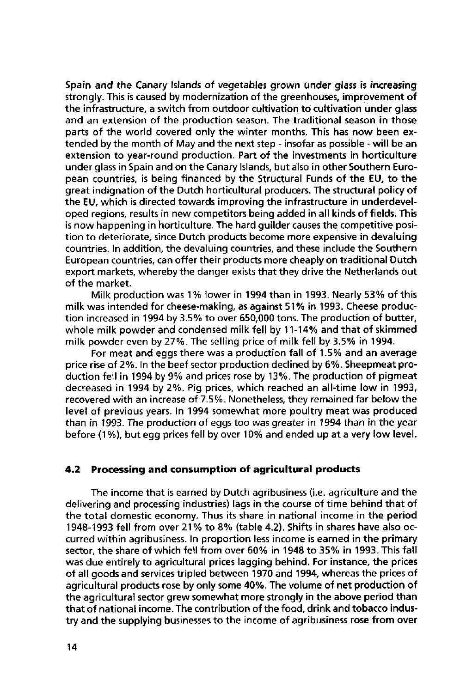Spain and the Canary Islands of vegetables grown under glass is increasing strongly. This is caused by modernization of the greenhouses, improvement of the infrastructure, a switch from outdoor cultivation to cultivation under glass and an extension of the production season. The traditional season in those parts of the world covered only the winter months. This has now been extended by the month of May and the next step - insofar as possible - will be an extension to year-round production. Part of the investments in horticulture under glass in Spain and on the Canary Islands, but also in other Southern European countries, is being financed by the Structural Funds of the EU, to the great indignation of the Dutch horticultural producers. The structural policy of the EU, which is directed towards improving the infrastructure in underdeveloped regions, results in new competitors being added in all kinds of fields. This is now happening in horticulture. The hard guilder causes the competitive position to deteriorate, since Dutch products become more expensive in devaluing countries. In addition, the devaluing countries, and these include the Southern European countries, can offer their products more cheaply on traditional Dutch export markets, whereby the danger exists that they drive the Netherlands out of the market.

Milk production was 1% lower in 1994 than in 1993. Nearly 53% of this milk was intended for cheese-making, as against 51% in 1993. Cheese production increased in 1994 by 3.5% to over 650,000 tons. The production of butter, whole miik powder and condensed milk fell by 11-14% and that of skimmed milk powder even by 27%. The selling price of milk fell by 3.5% in 1994.

For meat and eggs there was a production fall of 1.5% and an average price rise of 2%. In the beef sector production declined by 6%. Sheepmeat production fell in 1994 by 9% and prices rose by 13%. The production of pigmeat decreased in 1994 by 2%. Pig prices, which reached an all-time low in 1993, recovered with an increase of 7.5%. Nonetheless, they remained far below the level of previous years. In 1994 somewhat more poultry meat was produced than in 1993. The production of eggs too was greater in 1994 than in the year before (1%), but egg prices fell by over 10% and ended up at a very low level.

## **4.2 Processing and consumption of agricultural products**

The income that is earned by Dutch agribusiness (i.e. agriculture and the delivering and processing industries) lags in the course of time behind that of the total domestic economy. Thus its share in national income in the period 1948-1993 fell from over 21% to 8% (table 4.2). Shifts in shares have also occurred within agribusiness. In proportion less income is earned in the primary sector, the share of which fell from over 60% in 1948 to 35% in 1993. This fall was due entirely to agricultural prices lagging behind. For instance, the prices of all goods and services tripled between 1970 and 1994, whereas the prices of agricultural products rose by only some 40%. The volume of net production of the agricultural sector grew somewhat more strongly in the above period than that of national income. The contribution of the food, drink and tobacco industry and the supplying businesses to the income of agribusiness rose from over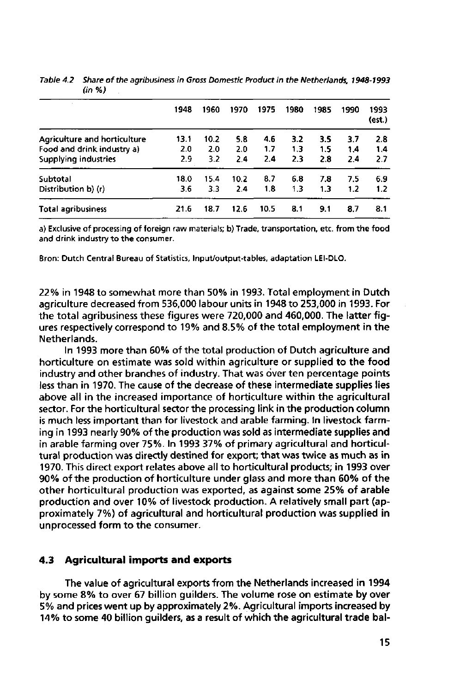|                                     | 1948 | 1960 | 1970 | 1975 | 1980 | 1985 | 1990 | 1993<br>(est.) |
|-------------------------------------|------|------|------|------|------|------|------|----------------|
| <b>Agriculture and horticulture</b> | 13.1 | 10.2 | 5.8  | 4.6  | 3.2  | 3.5  | 3.7  | 2.8            |
| Food and drink industry a)          | 2.0  | 2.0  | 2.0  | 1.7  | 1.3  | 1.5  | 1.4  | 1.4            |
| Supplying industries                | 2.9  | 3.2  | 2.4  | 2.4  | 2.3  | 2.8  | 2.4  | 27             |
| Subtotal                            | 18.0 | 15.4 | 10.2 | 8.7  | 6.8  | 7.8  | 7.5  | 6.9            |
| Distribution b) (r)                 | 3.6  | 3.3  | 2.4  | 1.8  | 1.3  | 1.3  | 1.2  | 1.2            |
| <b>Total agribusiness</b>           | 21.6 | 18.7 | 12.6 | 10.5 | 8.1  | 9.1  | 8.7  | 8.1            |

Table 4.2 Share of the agribusiness in Gross Domestic Product in the Netherlands, 1948-1993 (in %)

a) Exclusive of processing of foreign raw materials; b) Trade, transportation, etc. from the food and drink industry to the consumer.

Bron: Dutch Central Bureau of Statistics, Input/output-tables, adaptation LEI-DLO.

22% in 1948 to somewhat more than 50% in 1993. Total employment in Dutch agriculture decreased from 536,000 labour units in 1948 to 253,000 in 1993. For the total agribusiness these figures were 720,000 and 460,000. The latter figures respectively correspond to 19% and 8.5% of the total employment in the Netherlands.

In 1993 more than 60% of the total production of Dutch agriculture and horticulture on estimate was sold within agriculture or supplied to the food industry and other branches of industry. That was over ten percentage points less than in 1970. The cause of the decrease of these intermediate supplies lies above all in the increased importance of horticulture within the agricultural sector. For the horticultural sector the processing link in the production column is much less important than for livestock and arable farming. In livestock farming in 1993 nearly 90% of the production was sold as intermediate supplies and in arable farming over 75%. In 1993 37% of primary agricultural and horticultural production was directly destined for export; that was twice as much as in 1970. This direct export relates above all to horticultural products; in 1993 over 90% of the production of horticulture under glass and more than 60% of the other horticultural production was exported, as against some 25% of arable production and over 10% of livestock production. A relatively small part (approximately 7%) of agricultural and horticultural production was supplied in unprocessed form to the consumer.

## **4.3 Agricultural imports and exports**

The value of agricultural exports from the Netherlands increased in 1994 by some 8% to over 67 billion guilders. The volume rose on estimate by over 5% and prices went up by approximately 2%. Agricultural imports increased by 14% to some 40 billion guilders, as a result of which the agricultural trade bal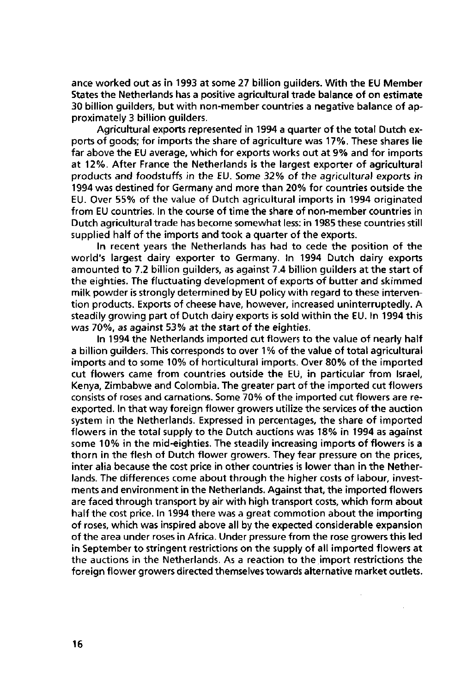ance worked out as in 1993 at some 27 billion guilders. With the EU Member States the Netherlands has a positive agricultural trade balance of on estimate 30 billion guilders, but with non-member countries a negative balance of approximately 3 billion guilders.

Agricultural exports represented in 1994 a quarter of the total Dutch exports of goods; for imports the share of agriculture was 17%. These shares lie far above the EU average, which for exports works out at 9% and for imports at 12%. After France the Netherlands is the largest exporter of agricultural products and foodstuffs in the EU. Some 32% of the agricultural exports in 1994 was destined for Germany and more than 20% for countries outside the EU. Over 55% of the value of Dutch agricultural imports in 1994 originated from EU countries. In the course of time the share of non-member countries in Dutch agricultural trade has become somewhat less: in 1985 these countries still supplied half of the imports and took a quarter of the exports.

In recent years the Netherlands has had to cede the position of the world's largest dairy exporter to Germany. In 1994 Dutch dairy exports amounted to 7.2 billion guilders, as against 7.4 billion guilders at the start of the eighties. The fluctuating development of exports of butter and skimmed milk powder is strongly determined by EU policy with regard to these intervention products. Exports of cheese have, however, increased uninterruptedly. A steadily growing part of Dutch dairy exports is sold within the EU. In 1994 this was 70%, as against 53% at the start of the eighties.

In 1994 the Netherlands imported cut flowers to the value of nearly half a billion guilders. This corresponds to over 1 % of the value of total agricultural imports and to some 10% of horticultural imports. Over 80% of the imported cut flowers came from countries outside the EU, in particular from Israel, Kenya, Zimbabwe and Colombia. The greater part of the imported cut flowers consists of roses and carnations. Some 70% of the imported cut flowers are reexported. In that way foreign flower growers utilize the services of the auction system in the Netherlands. Expressed in percentages, the share of imported flowers in the total supply to the Dutch auctions was 18% in 1994 as against some 10% in the mid-eighties. The steadily increasing imports of flowers is a thorn in the flesh of Dutch flower growers. They fear pressure on the prices, inter alia because the cost price in other countries is lower than in the Netherlands. The differences come about through the higher costs of labour, investments and environment in the Netherlands. Against that, the imported flowers are faced through transport by air with high transport costs, which form about half the cost price. In 1994 there was a great commotion about the importing of roses, which was inspired above all by the expected considerable expansion of the area under roses in Africa. Under pressure from the rose growers this led in September to stringent restrictions on the supply of all imported flowers at the auctions in the Netherlands. As a reaction to the import restrictions the foreign flower growers directed themselves towards alternative market outlets.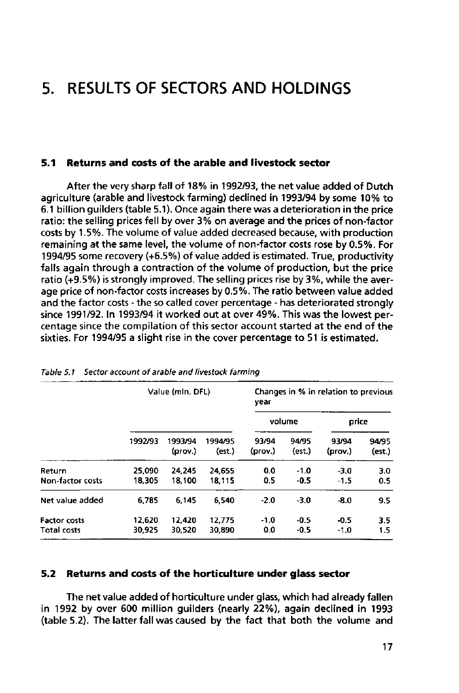# **5. RESULTS OF SECTORS AND HOLDINGS**

## **5.1 Returns and costs of the arable and livestock sector**

After the very sharp fall of 18% in 1992/93, the net value added of Dutch agriculture (arable and livestock farming) declined in 1993/94 by some 10% to 6.1 billion guilders (table 5.1). Once again there was a deterioration in the price ratio: the selling prices fell by over 3% on average and the prices of non-factor costs by 1.5%. The volume of value added decreased because, with production remaining at the same level, the volume of non-factor costs rose by 0.5%. For 1994/95 some recovery (+6.5%) of value added is estimated. True, productivity falls again through a contraction of the volume of production, but the price ratio (+9.5%) is strongly improved. The selling prices rise by 3%, while the average price of non-factor costs increases by 0.5%. The ratio between value added and the factor costs - the so called cover percentage - has deteriorated strongly since 1991/92. In 1993/94 it worked out at over 49%. This was the lowest percentage since the compilation of this sector account started at the end of the sixties. For 1994/95 a slight rise in the cover percentage to 51 is estimated.

|                                    |                  | Value (mln. DFL)   |                   | Changes in % in relation to previous<br>year |                  |                  |                 |  |
|------------------------------------|------------------|--------------------|-------------------|----------------------------------------------|------------------|------------------|-----------------|--|
|                                    |                  |                    |                   |                                              | volume           | price            |                 |  |
|                                    | 1992/93          | 1993/94<br>(prov.) | 1994/95<br>(est.) | 93/94<br>(prov.)                             | 94/95<br>(est.)  | 93/94<br>(prov.) | 94/95<br>(est.) |  |
| Return<br>Non-factor costs         | 25,090<br>18.305 | 24.245<br>18.100   | 24.655<br>18,115  | 0.0<br>0.5                                   | $-1.0$<br>$-0.5$ | $-3.0$<br>$-1.5$ | 3.0<br>0.5      |  |
| Net value added                    | 6.785            | 6.145              | 6.540             | $-2.0$                                       | $-3.0$           | $-8.0$           | 9,5             |  |
| <b>Factor costs</b><br>Total costs | 12,620<br>30.925 | 12,420<br>30.520   | 12,775<br>30,890  | $-1.0$<br>0.0                                | $-0.5$<br>$-0.5$ | $-0.5$<br>$-1.0$ | 3.5<br>1.5      |  |

Table 5.1 Sector account of arable and livestock farming

### **5.2 Returns and costs of the horticulture under glass sector**

The net value added of horticulture under glass, which had already fallen in 1992 by over 600 million guilders (nearly 22%), again declined in 1993 (table 5.2). The latter fall was caused by the fact that both the volume and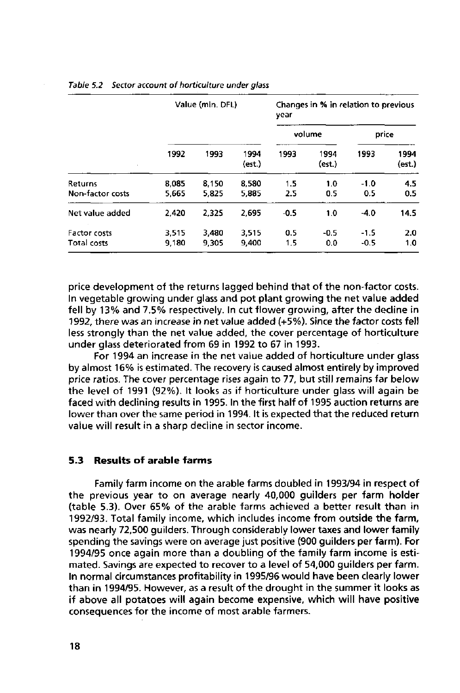|                                           |                | Value (min. DFL) |                | Changes in % in relation to previous<br>vear |                |                  |                |  |
|-------------------------------------------|----------------|------------------|----------------|----------------------------------------------|----------------|------------------|----------------|--|
|                                           |                |                  |                |                                              | volume         | price            |                |  |
|                                           | 1992           | 1993             | 1994<br>(est.) | 1993                                         | 1994<br>(est.) | 1993             | 1994<br>(est.) |  |
| <b>Returns</b><br>Non-factor costs        | 8.085<br>5.665 | 8.150<br>5,825   | 8,580<br>5,885 | 1.5<br>2.5                                   | 1.0<br>0.5     | $-1.0$<br>0.5    | 4.5<br>0.5     |  |
| Net value added                           | 2,420          | 2.325            | 2,695          | $-0.5$                                       | 1.0            | $-4.0$           | 14.5           |  |
| <b>Factor costs</b><br><b>Total costs</b> | 3.515<br>9,180 | 3,480<br>9.305   | 3.515<br>9.400 | 0.5<br>1.5                                   | $-0.5$<br>0.0  | $-1.5$<br>$-0.5$ | 2.0<br>1.0     |  |

### Table 5.2 Sector account of horticulture under glass

price development of the returns lagged behind that of the non-factor costs. In vegetable growing under glass and pot plant growing the net value added fell by 13% and 7.5% respectively. In cut flower growing, after the decline in 1992, there was an increase in net value added (+5%). Since the factor costs fell less strongly than the net value added, the cover percentage of horticulture under glass deteriorated from 69 in 1992 to 67 in 1993.

For 1994 an increase in the net value added of horticulture under glass by almost 16% is estimated. The recovery is caused almost entirely by improved price ratios. The cover percentage rises again to 77, but still remains far below the level of 1991 (92%). It looks as if horticulture under glass will again be faced with declining results in 1995. In the first half of 1995 auction returns are lower than over the same period in 1994. It is expected that the reduced return value will result in a sharp decline in sector income.

## **5.3 Results of arable farms**

Family farm income on the arable farms doubled in 1993/94 in respect of the previous year to on average nearly 40,000 guilders per farm holder (table 5.3). Over 65% of the arable farms achieved a better result than in 1992/93. Total family income, which includes income from outside the farm, was nearly 72,500 guilders. Through considerably lower taxes and lower family spending the savings were on average just positive (900 guilders per farm). For 1994/95 once again more than a doubling of the family farm income is estimated. Savings are expected to recover to a level of 54,000 guilders per farm. In normal circumstances profitability in 1995/96 would have been clearly lower than in 1994/95. However, as a result of the drought in the summer it looks as if above all potatoes will again become expensive, which will have positive consequences for the income of most arable farmers.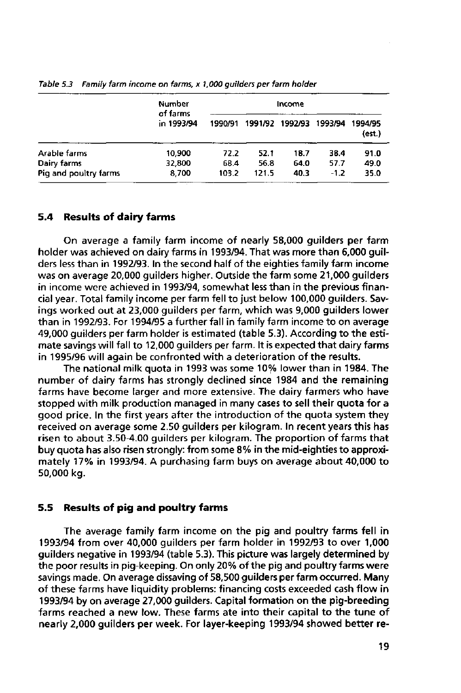|                       | <b>Number</b><br>of farms<br>in 1993/94 |         |       |                 |         |                   |
|-----------------------|-----------------------------------------|---------|-------|-----------------|---------|-------------------|
|                       |                                         | 1990/91 |       | 1991/92 1992/93 | 1993/94 | 1994/95<br>(est.) |
| Arable farms          | 10,900                                  | 72.2    | 52.1  | 18.7            | 38.4    | 91.0              |
| Dairy farms           | 32,800                                  | 68.4    | 56.8  | 64.0            | 57.7    | 49.0              |
| Pig and poultry farms | 8,700                                   | 103.2   | 121.5 | 40.3            | $-1.2$  | 35.0              |

Table 5.3 Family farm income on farms, x 1,000 guilders per farm holder

### **5.4 Results of dairy farms**

On average a family farm income of nearly 58,000 guilders per farm holder was achieved on dairy farms in 1993/94. That was more than 6,000 guilders less than in 1992/93. In the second half of the eighties family farm income was on average 20,000 guilders higher. Outside the farm some 21,000 guilders in income were achieved in 1993/94, somewhat less than in the previous financial year. Total family income per farm fell to just below 100,000 guilders. Savings worked out at 23,000 guilders per farm, which was 9,000 guilders lower than in 1992/93. For 1994/95 a further fall in family farm income to on average 49,000 guilders per farm holder is estimated (table 5.3). According to the estimate savings will fall to 12,000 guilders per farm. It is expected that dairy farms in 1995/96 will again be confronted with a deterioration of the results.

The national milk quota in 1993 was some 10% lower than in 1984. The number of dairy farms has strongly declined since 1984 and the remaining farms have become larger and more extensive. The dairy farmers who have stopped with milk production managed in many cases to sell their quota for a good price. In the first years after the introduction of the quota system they received on average some 2.50 guilders per kilogram. In recent years this has risen to about 3.50-4.00 guilders per kilogram. The proportion of farms that buy quota has also risen strongly: from some 8% in the mid-eighties to approximately 17% in 1993/94. A purchasing farm buys on average about 40,000 to 50,000 kg.

### **5.5 Results of pig and poultry farms**

The average family farm income on the pig and poultry farms fell in 1993/94 from over 40,000 guilders per farm holder in 1992/93 to over 1,000 guilders negative in 1993/94 (table 5.3). This picture was largely determined by the poor results in pig-keeping. On only 20% of the pig and poultry farms were savings made. On average dissaving of 58,500 guilders per farm occurred. Many of these farms have liquidity problems: financing costs exceeded cash flow in 1993/94 by on average 27,000 guilders. Capital formation on the pig-breeding farms reached a new low. These farms ate into their capital to the tune of nearly 2,000 guilders per week. For layer-keeping 1993/94 showed better re-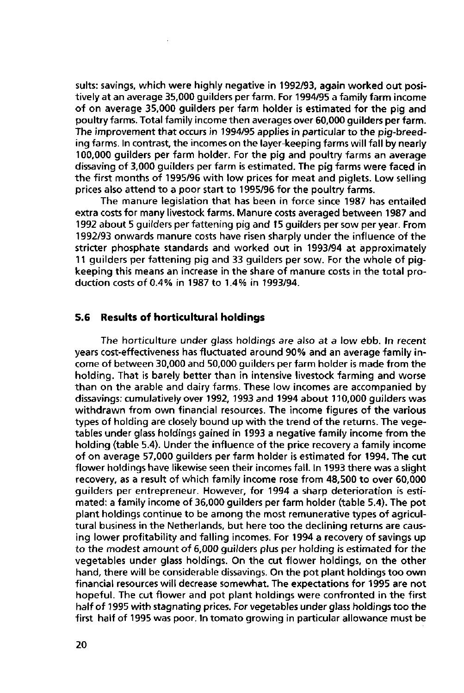suits: savings, which were highly negative in 1992/93, again worked out positively at an average 35,000 guilders per farm. For 1994/95 a family farm income of on average 35,000 guilders per farm holder is estimated for the pig and poultry farms. Total family income then averages over 60,000 guilders per farm. The improvement that occurs in 1994/95 applies in particular to the pig-breeding farms. In contrast, the incomes on the layer-keeping farms will fall by nearly 100,000 guilders per farm holder. For the pig and poultry farms an average dissaving of 3,000 guilders per farm is estimated. The pig farms were faced in the first months of 1995/96 with low prices for meat and piglets. Low selling prices also attend to a poor start to 1995/96 for the poultry farms.

The manure legislation that has been in force since 1987 has entailed extra costs for many livestock farms. Manure costs averaged between 1987 and 1992 about 5 guilders per fattening pig and 15 guilders per sow per year. From 1992/93 onwards manure costs have risen sharply under the influence of the stricter phosphate standards and worked out in 1993/94 at approximately 11 guilders per fattening pig and 33 guilders per sow. For the whole of pigkeeping this means an increase in the share of manure costs in the total production costs of 0.4% in 1987 to 1.4% in 1993/94.

### **5.6 Results of horticultural holdings**

The horticulture under glass holdings are also at a low ebb. in recent years cost-effectiveness has fluctuated around 90% and an average family income of between 30,000 and 50,000 guilders per farm holder is made from the holding. That is barely better than in intensive livestock farming and worse than on the arable and dairy farms. These low incomes are accompanied by dissavings: cumulatively over 1992, 1993 and 1994 about 110,000 guilders was withdrawn from own financial resources. The income figures of the various types of holding are closely bound up with the trend of the returns. The vegetables under glass holdings gained in 1993 a negative family income from the holding (table 5.4). Under the influence of the price recovery a family income of on average 57,000 guilders per farm holder is estimated for 1994. The cut flower holdings have likewise seen their incomes fall. In 1993 there was a slight recovery, as a result of which family income rose from 48,500 to over 60,000 guilders per entrepreneur. However, for 1994 a sharp deterioration is estimated: a family income of 36,000 guilders per farm holder (table 5.4). The pot plant holdings continue to be among the most remunerative types of agricultural business in the Netherlands, but here too the declining returns are causing lower profitability and falling incomes. For 1994 a recovery of savings up to the modest amount of 6,000 guilders plus per holding is estimated for the vegetables under glass holdings. On the cut flower holdings, on the other hand, there will be considerable dissavings. On the pot plant holdings too own financial resources will decrease somewhat. The expectations for 1995 are not hopeful. The cut flower and pot plant holdings were confronted in the first half of 1995 with stagnating prices. For vegetables under glass holdings too the first half of 1995 was poor. In tomato growing in particular allowance must be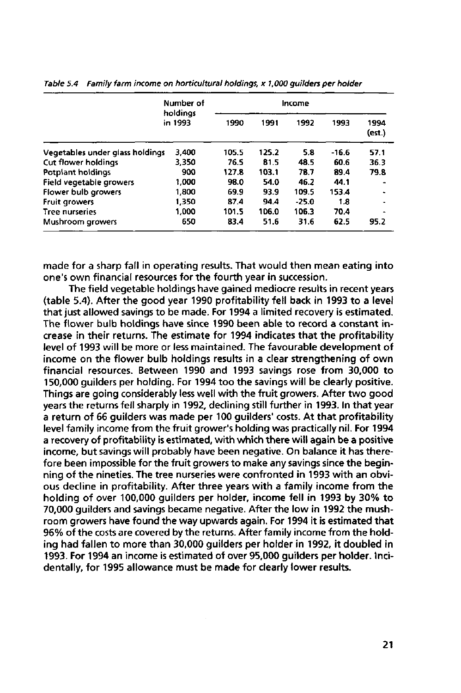|                                 | Number of           |       | Income |         |         |                |
|---------------------------------|---------------------|-------|--------|---------|---------|----------------|
|                                 | holdings<br>in 1993 | 1990  | 1991   | 1992    | 1993    | 1994<br>(est.) |
| Vegetables under glass holdings | 3.400               | 105.5 | 125.2  | 5.8     | $-16.6$ | 57.1           |
| <b>Cut flower holdings</b>      | 3,350               | 76.5  | 81.5   | 48.5    | 60.6    | 36.3           |
| Potplant holdings               | 900                 | 127.8 | 103.1  | 78.7    | 89.4    | 79.8           |
| Field vegetable growers         | 1.000               | 98.0  | 54.0   | 46.2    | 44.1    |                |
| Flower bulb growers             | 1.800               | 69.9  | 93.9   | 109.5   | 153.4   |                |
| <b>Fruit growers</b>            | 1,350               | 87.4  | 94.4   | $-25.0$ | 1.8     |                |
| Tree nurseries                  | 1,000               | 101.5 | 106.0  | 106.3   | 70.4    |                |
| Mushroom growers                | 650                 | 83.4  | 51.6   | 31.6    | 62.5    | 95.2           |

Table 5.4 Family farm income on horticultural holdings, x 1,000 guilders per holder

made for a sharp fall in operating results. That would then mean eating into one's own financial resources for the fourth year in succession.

The field vegetable holdings have gained mediocre results in recent years (table 5.4). After the good year 1990 profitability fell back in 1993 to a level that just allowed savings to be made. For 1994 a limited recovery is estimated. The flower bulb holdings have since 1990 been able to record a constant increase in their returns. The estimate for 1994 indicates that the profitability level of 1993 will be more or less maintained. The favourable development of income on the flower bulb holdings results in a clear strengthening of own financial resources. Between 1990 and 1993 savings rose from 30,000 to 150,000 guilders per holding. For 1994 too the savings will be clearly positive. Things are going considerably less well with the fruit growers. After two good years the returns fell sharply in 1992, declining still further in 1993. In that year a return of 66 guilders was made per 100 guilders' costs. At that profitability level family income from the fruit grower's holding was practically nil. For 1994 a recovery of profitability is estimated, with which there will again be a positive income, but savings will probably have been negative. On balance it has therefore been impossible for the fruit growers to make any savings since the beginning of the nineties. The tree nurseries were confronted in 1993 with an obvious decline in profitability. After three years with a family income from the holding of over 100,000 guilders per holder, income fell in 1993 by 30% to 70,000 guilders and savings became negative. After the low in 1992 the mushroom growers have found the way upwards again. For 1994 it is estimated that 96% of the costs are covered by the returns. After family income from the holding had fallen to more than 30,000 guilders per holder in 1992, it doubled in 1993. For 1994 an income is estimated of over 95,000 guilders per holder. Incidentally, for 1995 allowance must be made for clearly lower results.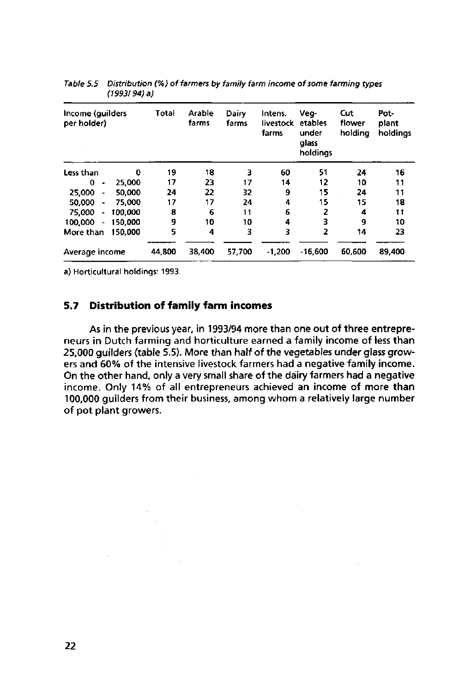| Income (guilders<br>per holder) |         | Total  | Arable<br>farms | Dairy<br>farms | Intens.<br>livestock<br>farms | Veg-<br>etables<br>under<br>alass<br>holdings | Cut<br>flower<br>holdina | Pot-<br>plant<br>holdinas |
|---------------------------------|---------|--------|-----------------|----------------|-------------------------------|-----------------------------------------------|--------------------------|---------------------------|
| Less than                       | 0       | 19     | 18              | 3              | 60                            | 51                                            | 24                       | 16                        |
| 0                               | 25.000  | 17     | 23              | 17             | 14                            | 12                                            | 10                       | 11                        |
| 25,000<br>$\bullet$             | 50.000  | 24     | 22              | 32             | 9                             | 15                                            | 24                       | 11                        |
| 50,000                          | 75,000  | 17     | 17              | 24             | 4                             | 15                                            | 15                       | 18                        |
| 75,000<br>۰                     | 100.000 | 8      | 6               | 11             | 6                             | 2                                             | 4                        | t t                       |
| 100,000<br>$\blacksquare$       | 150.000 | 9      | 10              | 10             | 4                             | 3                                             | 9                        | 10                        |
| More than                       | 150.000 | 5      | 4               | 3              | 3                             | 2                                             | 14                       | 23                        |
| Average income                  |         | 44,800 | 38,400          | 57,700         | $-1,200$                      | $-16.600$                                     | 60.600                   | 89,400                    |

Table 5.5 Distribution (%) of farmers by family farm income of some farming typ (1993/94) a)

a) Horticultural holdings: 1993.

## **5.7 Distribution of family farm incomes**

As in the previous year, in 1993/94 more than one out of three entrepreneurs in Dutch farming and horticulture earned a family income of less than 25,000 guilders (table 5.5). More than half of the vegetables under glass growers and 60% of the intensive livestock farmers had a negative family income. On the other hand, only a very small share of the dairy farmers had a negative income. Only 14% of all entrepreneurs achieved an income of more than 100,000 guilders from their business, among whom a relatively large number of pot plant growers.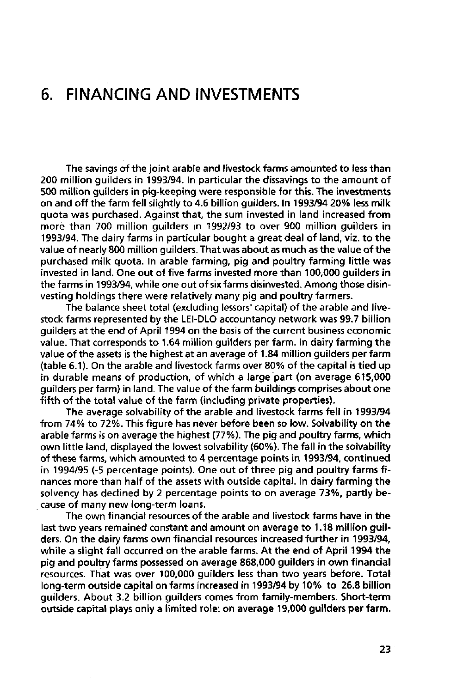# **6. FINANCING AND INVESTMENTS**

The savings of the joint arable and livestock farms amounted to less than 200 million guilders in 1993/94. In particular the dissavings to the amount of 500 million guilders in pig-keeping were responsible for this. The investments on and off the farm fell slightly to 4.6 billion guilders. In 1993/94 20% less milk quota was purchased. Against that, the sum invested in land increased from more than 700 million guilders in 1992/93 to over 900 million guilders in 1993/94. The dairy farms in particular bought a great deal of land, viz. to the value of nearly 800 million guilders. That was about as much as the value of the purchased milk quota. In arable farming, pig and poultry farming little was invested in land. One out of five farms invested more than 100,000 guilders in the farms in 1993/94, while one out of six farms disinvested. Among those disinvesting holdings there were relatively many pig and poultry farmers.

The balance sheet total (excluding lessors' capital) of the arable and livestock farms represented by the LEI-DLO accountancy network was 99.7 billion guilders at the end of April 1994 on the basis of the current business economic value. That corresponds to 1.64 million guilders per farm. In dairy farming the value of the assets is the highest at an average of 1.84 million guilders per farm (table 6.1). On the arable and livestock farms over 80% of the capital is tied up in durable means of production, of which a large part (on average 615,000 guilders per farm) in land. The value of the farm buildings comprises about one fifth of the total value of the farm (including private properties).

The average solvability of the arable and livestock farms fell in 1993/94 from 74% to 72%. This figure has never before been so low. Solvability on the arable farms is on average the highest (77%). The pig and poultry farms, which own little land, displayed the lowest solvability (60%). The fall in the solvability of these farms, which amounted to 4 percentage points in 1993/94, continued in 1994/95 (-5 percentage points). One out of three pig and poultry farms finances more than half of the assets with outside capital. In dairy farming the solvency has declined by 2 percentage points to on average 73%, partly because of many new long-term loans.

The own financial resources of the arable and livestock farms have in the last two years remained constant and amount on average to 1.18 million guilders. On the dairy farms own financial resources increased further in 1993/94, while a slight fall occurred on the arable farms. At the end of April 1994 the pig and poultry farms possessed on average 868,000 guilders in own financial resources. That was over 100,000 guilders less than two years before. Total long-term outside capital on farms increased in 1993/94 by 10% to 26.8 billion guilders. About 3.2 billion guilders comes from family-members. Short-term outside capital plays only a limited role: on average 19,000 guilders per farm.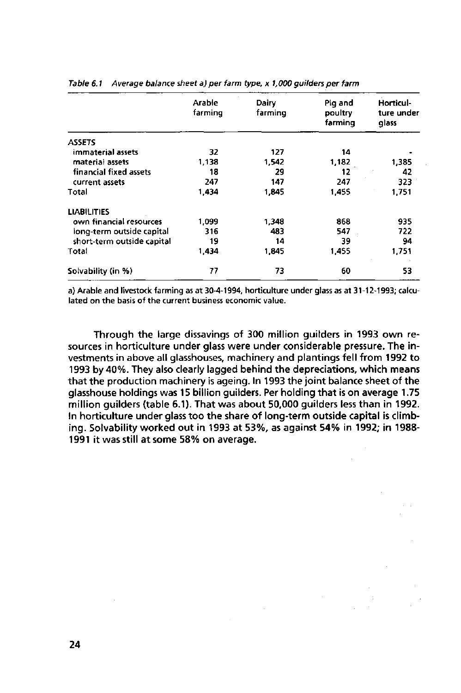|                            | Arable<br>farming | Dairy<br>farming | Pig and<br>poultry<br>farming | Horticul-<br>ture under<br>qlass |
|----------------------------|-------------------|------------------|-------------------------------|----------------------------------|
| <b>ASSETS</b>              |                   |                  |                               |                                  |
| immaterial assets          | 32                | 127              | 14                            |                                  |
| material assets            | 1,138             | 1.542            | 1.182                         | 1.385                            |
| financial fixed assets     | 18                | 29               | 12                            | 42                               |
| current assets             | 247               | 147              | 247                           | 323                              |
| Total                      | 1,434             | 1.845            | 1.455                         | 1.751                            |
| <b>LIABILITIES</b>         |                   |                  |                               |                                  |
| own financial resources    | 1,099             | 1.348            | 868                           | 935                              |
| long-term outside capital  | 316               | 483              | 547                           | 722                              |
| short-term outside capital | 19                | 14               | 39                            | 94                               |
| Total                      | 1,434             | 1.845            | 1.455                         | 1,751                            |
| Solvability (in %)         | 77                | 73               | 60                            | 53                               |

#### Table 6.1 Average balance sheet a) per farm type, x 1,000 guilders per farm

a) Arable and livestock farming as at 30-4-1994, horticulture under glass as at 31-12-1993; calculated on the basis of the current business economic value.

Through the large dissavings of 300 million guilders in 1993 own resources in horticulture under glass were under considerable pressure. The investments in above all glasshouses, machinery and plantings fell from 1992 to 1993 by 40%. They also clearly lagged behind the depreciations, which means that the production machinery is ageing. In 1993 the joint balance sheet of the glasshouse holdings was 15 billion guilders. Per holding that is on average 1.75 million guilders (table 6.1). That was about 50,000 guilders less than in 1992. In horticulture under glass too the share of long-term outside capital is climbing. Solvability worked out in 1993 at 53%, as against 54% in 1992; in 1988- 1991 it was still at some 58% on average.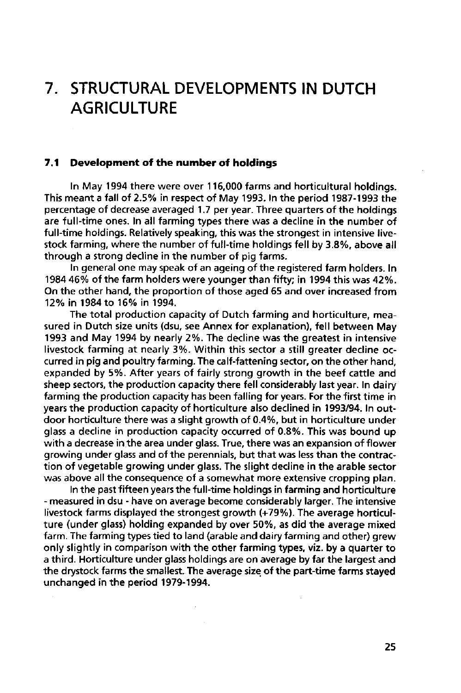# **7. STRUCTURAL DEVELOPMENTS IN DUTCH AGRICULTURE**

### **7.1 Development of the number of holdings**

In May 1994 there were over 116,000 farms and horticultural holdings. This meant a fall of 2.5% in respect of May 1993. In the period 1987-1993 the percentage of decrease averaged 1.7 per year. Three quarters of the holdings are full-time ones. In all farming types there was a decline in the number of full-time holdings. Relatively speaking, this was the strongest in intensive livestock farming, where the number of full-time holdings fell by 3.8%, above all through a strong decline in the number of pig farms.

In general one may speak of an ageing of the registered farm holders. In 1984 46% of the farm holders were younger than fifty; in 1994 this was 42%. On the other hand, the proportion of those aged 65 and over increased from 12% in 1984 to 16% in 1994.

The total production capacity of Dutch farming and horticulture, measured in Dutch size units (dsu, see Annex for explanation), fell between May 1993 and May 1994 by nearly 2%. The decline was the greatest in intensive livestock farming at nearly 3%. Within this sector a still greater decline occurred in pig and poultry farming. The calf-fattening sector, on the other hand, expanded by 5%. After years of fairly strong growth in the beef cattle and sheep sectors, the production capacity there fell considerably last year. In dairy farming the production capacity has been falling for years. For the first time in years the production capacity of horticulture also declined in 1993/94. In outdoor horticulture there was a slight growth of 0.4%, but in horticulture under glass a decline in production capacity occurred of 0.8%. This was bound up with a decrease in the area under glass. True, there was an expansion of flower growing under glass and of the perennials, but that was less than the contraction of vegetable growing under glass. The slight decline in the arable sector was above all the consequence of a somewhat more extensive cropping plan.

In the past fifteen years the full-time holdings in farming and horticulture - measured in dsu - have on average become considerably larger. The intensive livestock farms displayed the strongest growth (+79%). The average horticulture (under glass) holding expanded by over 50%, as did the average mixed farm. The farming types tied to land (arable and dairy farming and other) grew only slightly in comparison with the other farming types, viz. by a quarter to a third. Horticulture under glass holdings are on average by far the largest and the drystock farms the smallest. The average size of the part-time farms stayed unchanged in the period 1979-1994.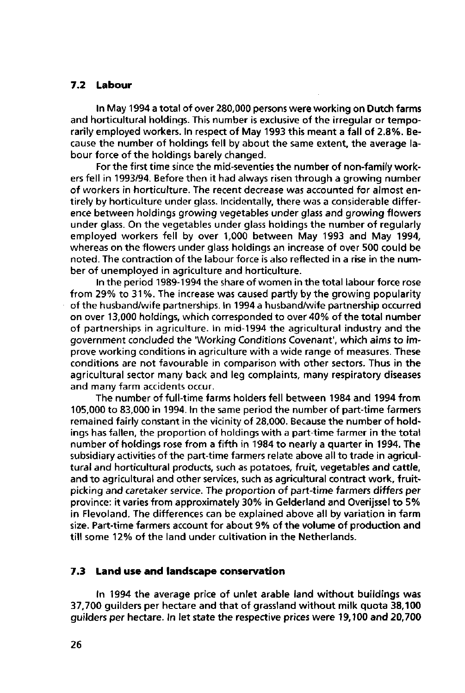### **7.2 Labour**

In May 1994 a total of over 280,000 persons were working on Dutch farms and horticultural holdings. This number is exclusive of the irregular or temporarily employed workers. In respect of May 1993 this meant a fall of 2.8%. Because the number of holdings fell by about the same extent, the average labour force of the holdings barely changed.

For the first time since the mid-seventies the number of non-family workers fell in 1993/94. Before then it had always risen through a growing number of workers in horticulture. The recent decrease was accounted for almost entirely by horticulture under glass. Incidentally, there was a considerable difference between holdings growing vegetables under glass and growing flowers under glass. On the vegetables under glass holdings the number of regularly employed workers fell by over 1,000 between May 1993 and May 1994, whereas on the flowers under glass holdings an increase of over 500 could be noted. The contraction of the labour force is also reflected in a rise in the number of unemployed in agriculture and horticulture.

In the period 1989-1994 the share of women in the total labour force rose from 29% to 31%. The increase was caused partly by the growing popularity of the husband/wife partnerships. In 1994 a husband/wife partnership occurred on over 13,000 holdings, which corresponded to over 40% of the total number of partnerships in agriculture. In mid-1994 the agricultural industry and the government concluded the 'Working Conditions Covenant', which aims to improve working conditions in agriculture with a wide range of measures. These conditions are not favourable in comparison with other sectors. Thus in the agricultural sector many back and leg complaints, many respiratory diseases and many farm accidents occur.

The number of full-time farms holders fell between 1984 and 1994 from 105,000 to 83,000 in 1994. In the same period the number of part-time farmers remained fairly constant in the vicinity of 28,000. Because the number of holdings has fallen, the proportion of holdings with a part-time farmer in the total number of holdings rose from a fifth in 1984 to nearly a quarter in 1994. The subsidiary activities of the part-time farmers relate above all to trade in agricultural and horticultural products, such as potatoes, fruit, vegetables and cattle, and to agricultural and other services, such as agricultural contract work, fruitpicking and caretaker service. The proportion of part-time farmers differs per province: it varies from approximately 30% in Gelderland and Overijssel to 5% in Flevoland. The differences can be explained above all by variation in farm size. Part-time farmers account for about 9% of the volume of production and till some 12% of the land under cultivation in the Netherlands.

### **7.3 Land use and landscape conservation**

In 1994 the average price of unlet arable land without buildings was 37,700 guilders per hectare and that of grassland without milk quota 38,100 guilders per hectare. In let state the respective prices were 19,100 and 20,700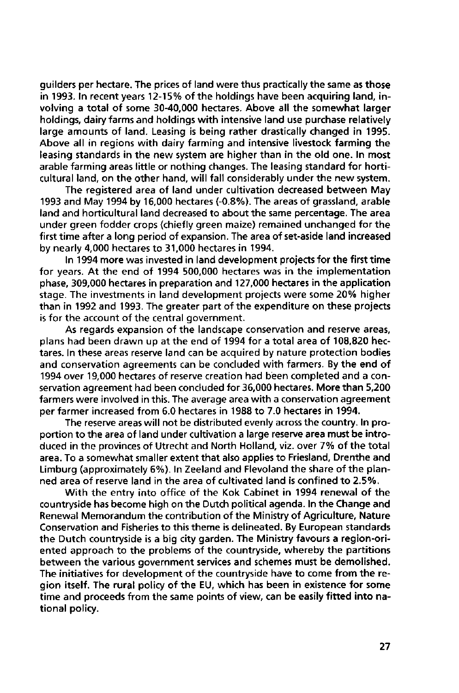guilders per hectare. The prices of land were thus practically the same as those in 1993. In recent years 12-15% of the holdings have been acquiring land, involving a total of some 30-40,000 hectares. Above all the somewhat larger holdings, dairy farms and holdings with intensive land use purchase relatively large amounts of land. Leasing is being rather drastically changed in 1995. Above all in regions with dairy farming and intensive livestock farming the leasing standards in the new system are higher than in the old one. In most arable farming areas little or nothing changes. The leasing standard for horticultural land, on the other hand, will fall considerably under the new system.

The registered area of land under cultivation decreased between May 1993 and May 1994 by 16,000 hectares (-0.8%). The areas of grassland, arable land and horticultural land decreased to about the same percentage. The area under green fodder crops (chiefly green maize) remained unchanged for the first time after a long period of expansion. The area of set-aside land increased by nearly 4,000 hectares to 31,000 hectares in 1994.

In 1994 more was invested in land development projects for the first time for years. At the end of 1994 500,000 hectares was in the implementation phase, 309,000 hectares in preparation and 127,000 hectares in the application stage. The investments in land development projects were some 20% higher than in 1992 and 1993. The greater part of the expenditure on these projects is for the account of the central government.

As regards expansion of the landscape conservation and reserve areas, plans had been drawn up at the end of 1994 for a total area of 108,820 hectares. In these areas reserve land can be acquired by nature protection bodies and conservation agreements can be concluded with farmers. By the end of 1994 over 19,000 hectares of reserve creation had been completed and a conservation agreement had been concluded for 36,000 hectares. More than 5,200 farmers were involved in this. The average area with a conservation agreement per farmer increased from 6.0 hectares in 1988 to 7.0 hectares in 1994.

The reserve areas will not be distributed evenly across the country. In proportion to the area of land under cultivation a large reserve area must be introduced in the provinces of Utrecht and North Holland, viz. over 7% of the total area. To a somewhat smaller extent that also applies to Friesland, Drenthe and Limburg (approximately 6%). In Zeeland and Flevoland the share of the planned area of reserve land in the area of cultivated land is confined to 2.5%.

With the entry into office of the Kok Cabinet in 1994 renewal of the countryside has become high on the Dutch political agenda. In the Change and Renewal Memorandum the contribution of the Ministry of Agriculture, Nature Conservation and Fisheries to this theme is delineated. By European standards the Dutch countryside is a big city garden. The Ministry favours a region-oriented approach to the problems of the countryside, whereby the partitions between the various government services and schemes must be demolished. The initiatives for development of the countryside have to come from the region itself. The rural policy of the EU, which has been in existence for some time and proceeds from the same points of view, can be easily fitted into national policy.